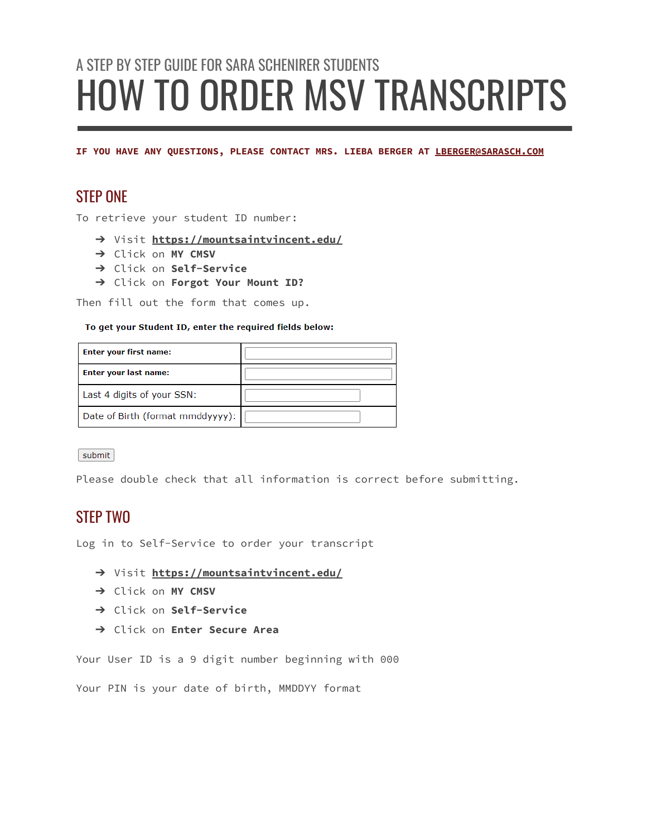# A STEP BY STEP GUIDE FOR SARA SCHENIRER STUDENTS HOW TO ORDER MSV TRANSCRIPTS

**IF YOU HAVE ANY QUESTIONS, PLEASE CONTACT MRS. LIEBA BERGER AT [LBERGER@SARASCH.COM](mailto:LBERGER@SARASCH.COM)**

## STEP ONE

To retrieve your student ID number:

- ➔ Visit **<https://mountsaintvincent.edu/>**
- ➔ Click on **MY CMSV**
- ➔ Click on **Self-Service**
- ➔ Click on **Forgot Your Mount ID?**

Then fill out the form that comes up.

#### To get your Student ID, enter the required fields below:

| <b>Enter your first name:</b>    |  |
|----------------------------------|--|
| Enter your last name:            |  |
| Last 4 digits of your SSN:       |  |
| Date of Birth (format mmddyyyy): |  |

submit

Please double check that all information is correct before submitting.

### STEP TWO

Log in to Self-Service to order your transcript

- ➔ Visit **<https://mountsaintvincent.edu/>**
- ➔ Click on **MY CMSV**
- ➔ Click on **Self-Service**
- ➔ Click on **Enter Secure Area**

Your User ID is a 9 digit number beginning with 000

Your PIN is your date of birth, MMDDYY format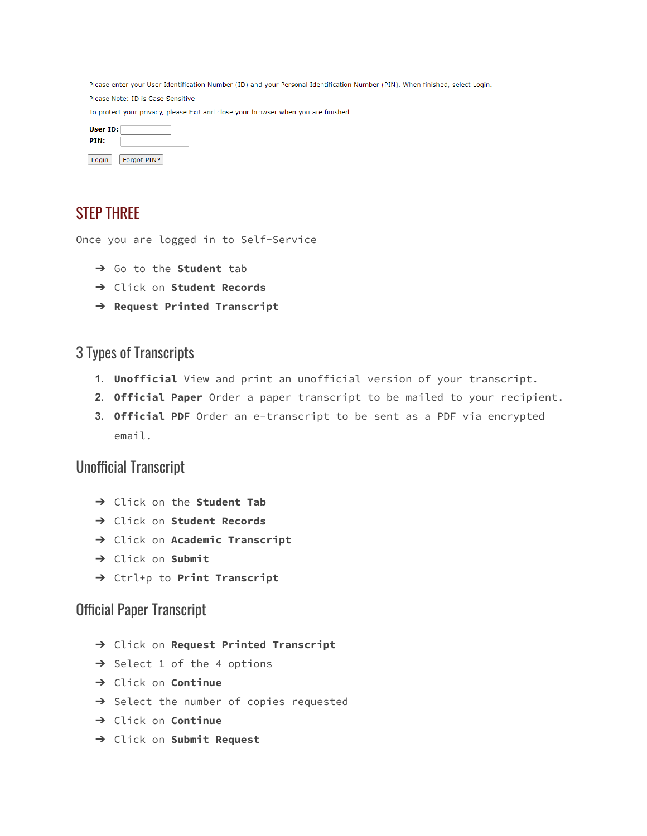Please enter your User Identification Number (ID) and your Personal Identification Number (PIN). When finished, select Login. Please Note: ID is Case Sensitive To protect your privacy, please Exit and close your browser when you are finished. User ID: PIN:

| <b>Login</b> | Forgot PIN? |  |
|--------------|-------------|--|

# STEP THREE

Once you are logged in to Self-Service

- ➔ Go to the **Student** tab
- ➔ Click on **Student Records**
- ➔ **Request Printed Transcript**

#### 3 Types of Transcripts

- **1. Unofficial** View and print an unofficial version of your transcript.
- **2. Official Paper** Order a paper transcript to be mailed to your recipient.
- **3. Official PDF** Order an e-transcript to be sent as a PDF via encrypted email.

#### Unofficial Transcript

- ➔ Click on the **Student Tab**
- ➔ Click on **Student Records**
- ➔ Click on **Academic Transcript**
- ➔ Click on **Submit**
- ➔ Ctrl+p to **Print Transcript**

#### Official Paper Transcript

- ➔ Click on **Request Printed Transcript**
- → Select 1 of the 4 options
- ➔ Click on **Continue**
- ➔ Select the number of copies requested
- ➔ Click on **Continue**
- ➔ Click on **Submit Request**